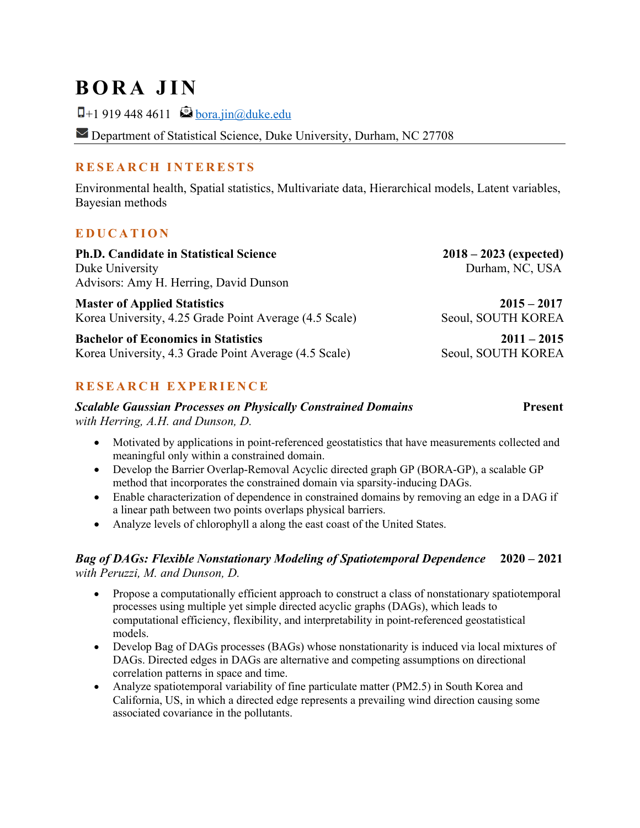## **BORA JIN**

 $\Box$ +1 919 448 4611  $\bigotimes$  <u>bora.jin@duke.edu</u>

Department of Statistical Science, Duke University, Durham, NC 27708

### **R ESEARCH INTERESTS**

Environmental health, Spatial statistics, Multivariate data, Hierarchical models, Latent variables, Bayesian methods

### **EDUCATION**

| <b>Ph.D. Candidate in Statistical Science</b>                                                       | $2018 - 2023$ (expected)            |
|-----------------------------------------------------------------------------------------------------|-------------------------------------|
| Duke University                                                                                     | Durham, NC, USA                     |
| Advisors: Amy H. Herring, David Dunson                                                              |                                     |
| <b>Master of Applied Statistics</b><br>Korea University, 4.25 Grade Point Average (4.5 Scale)       | $2015 - 2017$<br>Seoul, SOUTH KOREA |
| <b>Bachelor of Economics in Statistics</b><br>Korea University, 4.3 Grade Point Average (4.5 Scale) | $2011 - 2015$<br>Seoul, SOUTH KOREA |

### **RESEARCH EXPERIENCE**

**Scalable Gaussian Processes on Physically Constrained Domains <b>Present Present** *with Herring, A.H. and Dunson, D.*

- Motivated by applications in point-referenced geostatistics that have measurements collected and meaningful only within a constrained domain.
- Develop the Barrier Overlap-Removal Acyclic directed graph GP (BORA-GP), a scalable GP method that incorporates the constrained domain via sparsity-inducing DAGs.
- Enable characterization of dependence in constrained domains by removing an edge in a DAG if a linear path between two points overlaps physical barriers.
- Analyze levels of chlorophyll a along the east coast of the United States.

#### *Bag of DAGs: Flexible Nonstationary Modeling of Spatiotemporal Dependence* **2020 – 2021**  *with Peruzzi, M. and Dunson, D.*

- Propose a computationally efficient approach to construct a class of nonstationary spatiotemporal processes using multiple yet simple directed acyclic graphs (DAGs), which leads to computational efficiency, flexibility, and interpretability in point-referenced geostatistical models.
- Develop Bag of DAGs processes (BAGs) whose nonstationarity is induced via local mixtures of DAGs. Directed edges in DAGs are alternative and competing assumptions on directional correlation patterns in space and time.
- Analyze spatiotemporal variability of fine particulate matter (PM2.5) in South Korea and California, US, in which a directed edge represents a prevailing wind direction causing some associated covariance in the pollutants.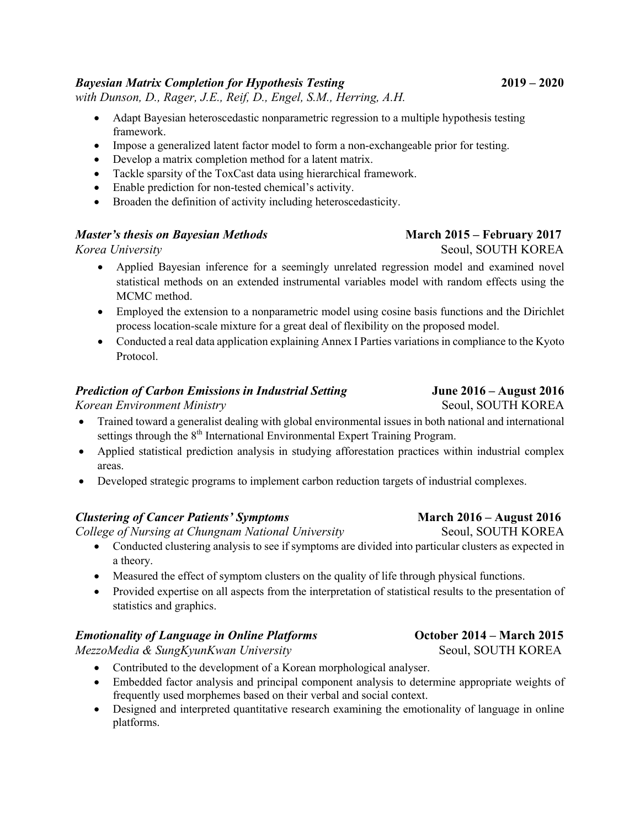#### *Bayesian Matrix Completion for Hypothesis Testing* **2019 – 2020**

*with Dunson, D., Rager, J.E., Reif, D., Engel, S.M., Herring, A.H.*

- Adapt Bayesian heteroscedastic nonparametric regression to a multiple hypothesis testing framework.
- Impose a generalized latent factor model to form a non-exchangeable prior for testing.
- Develop a matrix completion method for a latent matrix.
- Tackle sparsity of the ToxCast data using hierarchical framework.
- Enable prediction for non-tested chemical's activity.
- Broaden the definition of activity including heteroscedasticity.

#### *Master's thesis on Bayesian Methods* **March 2015 – February 2017**

- Applied Bayesian inference for a seemingly unrelated regression model and examined novel statistical methods on an extended instrumental variables model with random effects using the MCMC method.
- Employed the extension to a nonparametric model using cosine basis functions and the Dirichlet process location-scale mixture for a great deal of flexibility on the proposed model.
- Conducted a real data application explaining Annex I Parties variations in compliance to the Kyoto Protocol.

#### *Prediction of Carbon Emissions in Industrial Setting* **June 2016 – August 2016**

*Korean Environment Ministry* 2002 **Seoul, SOUTH KOREA** 

- Trained toward a generalist dealing with global environmental issues in both national and international settings through the  $8<sup>th</sup>$  International Environmental Expert Training Program.
- Applied statistical prediction analysis in studying afforestation practices within industrial complex areas.
- Developed strategic programs to implement carbon reduction targets of industrial complexes.

#### *Clustering of Cancer Patients' Symptoms* **March 2016 – August 2016**

*College of Nursing at Chungnam National University* **Seoul, SOUTH KOREA** 

- Conducted clustering analysis to see if symptoms are divided into particular clusters as expected in a theory.
- Measured the effect of symptom clusters on the quality of life through physical functions.
- Provided expertise on all aspects from the interpretation of statistical results to the presentation of statistics and graphics.

#### *Emotionality of Language in Online Platforms October 2014 – March 2015*

*MezzoMedia & SungKyunKwan University* **Seoul, SOUTH KOREA** 

- Contributed to the development of a Korean morphological analyser.
- Embedded factor analysis and principal component analysis to determine appropriate weights of frequently used morphemes based on their verbal and social context.
- Designed and interpreted quantitative research examining the emotionality of language in online platforms.

# *Korea University* Seoul, SOUTH KOREA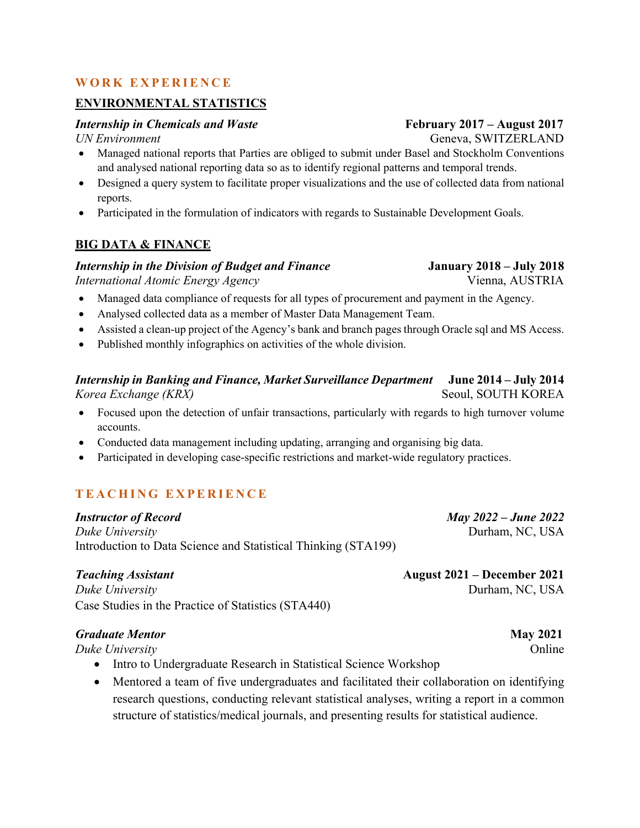#### **WORK EXPERIENCE**

#### **ENVIRONMENTAL STATISTICS**

#### *Internship in Chemicals and Waste February 2017 –* **August 2017**

- Managed national reports that Parties are obliged to submit under Basel and Stockholm Conventions and analysed national reporting data so as to identify regional patterns and temporal trends.
- Designed a query system to facilitate proper visualizations and the use of collected data from national reports.
- Participated in the formulation of indicators with regards to Sustainable Development Goals.

#### **BIG DATA & FINANCE**

#### *Internship in the Division of Budget and Finance* **January 2018 – July 2018**

*International Atomic Energy Agency* **Vienna, AUSTRIA** 

- Managed data compliance of requests for all types of procurement and payment in the Agency.
- Analysed collected data as a member of Master Data Management Team.
- Assisted a clean-up project of the Agency's bank and branch pages through Oracle sql and MS Access.
- Published monthly infographics on activities of the whole division.

#### *Internship in Banking and Finance, Market Surveillance Department* **June 2014 – July 2014** *Korea Exchange (KRX)* Seoul, SOUTH KOREA

- Focused upon the detection of unfair transactions, particularly with regards to high turnover volume accounts.
- Conducted data management including updating, arranging and organising big data.
- Participated in developing case-specific restrictions and market-wide regulatory practices.

### **TEACHING EXPERIENCE**

*Instructor of Record May 2022 – June 2022 Duke University* **Durham, NC, USA** Introduction to Data Science and Statistical Thinking (STA199)

*Duke University* Durham, NC, USA Case Studies in the Practice of Statistics (STA440)

#### *Graduate Mentor* **May 2021**

*Duke University* **Online** 

- Intro to Undergraduate Research in Statistical Science Workshop
- Mentored a team of five undergraduates and facilitated their collaboration on identifying research questions, conducting relevant statistical analyses, writing a report in a common structure of statistics/medical journals, and presenting results for statistical audience.

*Teaching Assistant* **August 2021 – December 2021**

*UN Environment* Geneva, SWITZERLAND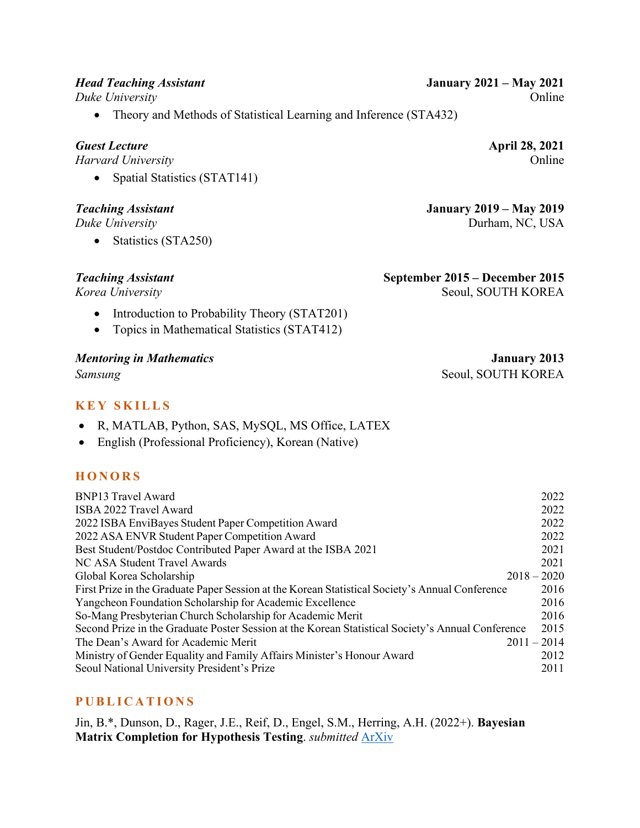• Theory and Methods of Statistical Learning and Inference (STA432)

#### *Guest Lecture* **April 28, 2021**

*Harvard University* Online

• Spatial Statistics (STAT141)

• Statistics (STA250)

- Introduction to Probability Theory (STAT201)
- Topics in Mathematical Statistics (STAT412)

#### *Mentoring in Mathematics* **January 2013**

### **KEY SKILLS**

- R, MATLAB, Python, SAS, MySQL, MS Office, LATEX
- English (Professional Proficiency), Korean (Native)

#### **HONORS**

| <b>BNP13 Travel Award</b>                                                                         | 2022          |
|---------------------------------------------------------------------------------------------------|---------------|
| ISBA 2022 Travel Award                                                                            | 2022          |
| 2022 ISBA EnviBayes Student Paper Competition Award                                               | 2022          |
| 2022 ASA ENVR Student Paper Competition Award                                                     | 2022          |
| Best Student/Postdoc Contributed Paper Award at the ISBA 2021                                     | 2021          |
| NC ASA Student Travel Awards                                                                      | 2021          |
| Global Korea Scholarship                                                                          | $2018 - 2020$ |
| First Prize in the Graduate Paper Session at the Korean Statistical Society's Annual Conference   | 2016          |
| Yangcheon Foundation Scholarship for Academic Excellence                                          | 2016          |
| So-Mang Presbyterian Church Scholarship for Academic Merit                                        | 2016          |
| Second Prize in the Graduate Poster Session at the Korean Statistical Society's Annual Conference | 2015          |
| The Dean's Award for Academic Merit                                                               | $2011 - 2014$ |
| Ministry of Gender Equality and Family Affairs Minister's Honour Award                            | 2012          |
| Seoul National University President's Prize                                                       | 2011          |

### **PUBLICATIONS**

Jin, B.\*, Dunson, D., Rager, J.E., Reif, D., Engel, S.M., Herring, A.H. (2022+). **Bayesian Matrix Completion for Hypothesis Testing**. *submitted* ArXiv

*Head Teaching Assistant* **January 2021 – May 2021** *Duke University* Online

*Teaching Assistant* **January 2019 – May 2019** *Duke University* Durham, NC, USA

## *Teaching Assistant* **September 2015 – December 2015**

*Korea University* Seoul, SOUTH KOREA

**Samsung**  Seoul, SOUTH KOREA